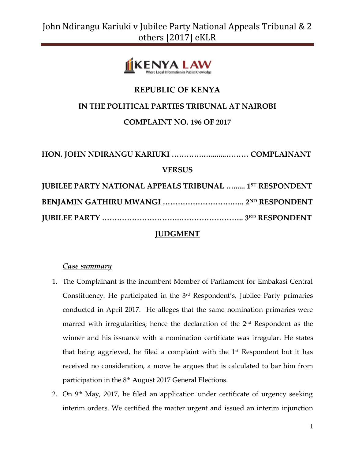

## **REPUBLIC OF KENYA**

## **IN THE POLITICAL PARTIES TRIBUNAL AT NAIROBI**

## **COMPLAINT NO. 196 OF 2017**

| <b>VERSUS</b>                                                  |  |
|----------------------------------------------------------------|--|
| <b>JUBILEE PARTY NATIONAL APPEALS TRIBUNAL  1ST RESPONDENT</b> |  |
|                                                                |  |
|                                                                |  |

## **JUDGMENT**

### *Case summary*

- 1. The Complainant is the incumbent Member of Parliament for Embakasi Central Constituency. He participated in the  $3<sup>rd</sup>$  Respondent's, Jubilee Party primaries conducted in April 2017. He alleges that the same nomination primaries were marred with irregularities; hence the declaration of the  $2<sup>nd</sup>$  Respondent as the winner and his issuance with a nomination certificate was irregular. He states that being aggrieved, he filed a complaint with the  $1<sup>st</sup>$  Respondent but it has received no consideration, a move he argues that is calculated to bar him from participation in the 8<sup>th</sup> August 2017 General Elections.
- 2. On  $9<sup>th</sup>$  May, 2017, he filed an application under certificate of urgency seeking interim orders. We certified the matter urgent and issued an interim injunction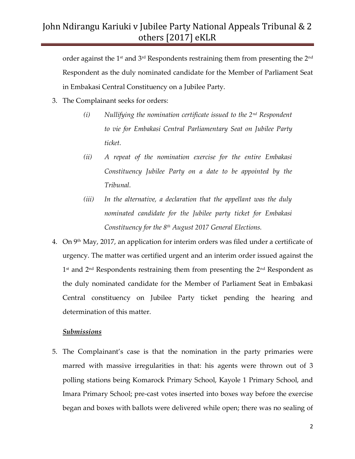order against the 1st and 3rd Respondents restraining them from presenting the 2 $^{\rm{nd}}$ Respondent as the duly nominated candidate for the Member of Parliament Seat in Embakasi Central Constituency on a Jubilee Party.

- 3. The Complainant seeks for orders:
	- *(i) Nullifying the nomination certificate issued to the 2nd Respondent to vie for Embakasi Central Parliamentary Seat on Jubilee Party ticket.*
	- *(ii) A repeat of the nomination exercise for the entire Embakasi Constituency Jubilee Party on a date to be appointed by the Tribunal.*
	- *(iii) In the alternative, a declaration that the appellant was the duly nominated candidate for the Jubilee party ticket for Embakasi Constituency for the 8th August 2017 General Elections.*
- 4. On  $9<sup>th</sup>$  May, 2017, an application for interim orders was filed under a certificate of urgency. The matter was certified urgent and an interim order issued against the 1<sup>st</sup> and 2<sup>nd</sup> Respondents restraining them from presenting the 2<sup>nd</sup> Respondent as the duly nominated candidate for the Member of Parliament Seat in Embakasi Central constituency on Jubilee Party ticket pending the hearing and determination of this matter.

#### *Submissions*

5. The Complainant's case is that the nomination in the party primaries were marred with massive irregularities in that: his agents were thrown out of 3 polling stations being Komarock Primary School, Kayole 1 Primary School, and Imara Primary School; pre-cast votes inserted into boxes way before the exercise began and boxes with ballots were delivered while open; there was no sealing of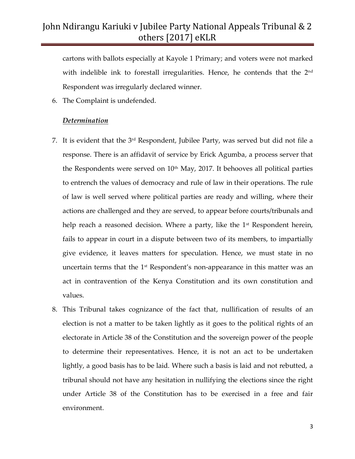cartons with ballots especially at Kayole 1 Primary; and voters were not marked with indelible ink to forestall irregularities. Hence, he contends that the 2<sup>nd</sup> Respondent was irregularly declared winner.

6. The Complaint is undefended.

#### *Determination*

- 7. It is evident that the 3<sup>rd</sup> Respondent, Jubilee Party, was served but did not file a response. There is an affidavit of service by Erick Agumba, a process server that the Respondents were served on  $10<sup>th</sup>$  May, 2017. It behooves all political parties to entrench the values of democracy and rule of law in their operations. The rule of law is well served where political parties are ready and willing, where their actions are challenged and they are served, to appear before courts/tribunals and help reach a reasoned decision. Where a party, like the  $1<sup>st</sup>$  Respondent herein, fails to appear in court in a dispute between two of its members, to impartially give evidence, it leaves matters for speculation. Hence, we must state in no uncertain terms that the 1<sup>st</sup> Respondent's non-appearance in this matter was an act in contravention of the Kenya Constitution and its own constitution and values.
- 8. This Tribunal takes cognizance of the fact that, nullification of results of an election is not a matter to be taken lightly as it goes to the political rights of an electorate in Article 38 of the Constitution and the sovereign power of the people to determine their representatives. Hence, it is not an act to be undertaken lightly, a good basis has to be laid. Where such a basis is laid and not rebutted, a tribunal should not have any hesitation in nullifying the elections since the right under Article 38 of the Constitution has to be exercised in a free and fair environment.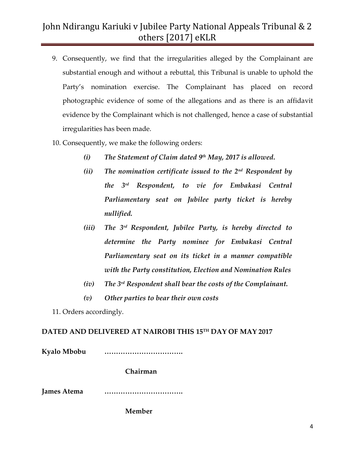- 9. Consequently, we find that the irregularities alleged by the Complainant are substantial enough and without a rebuttal, this Tribunal is unable to uphold the Party's nomination exercise. The Complainant has placed on record photographic evidence of some of the allegations and as there is an affidavit evidence by the Complainant which is not challenged, hence a case of substantial irregularities has been made.
- 10. Consequently, we make the following orders:
	- *(i) The Statement of Claim dated 9th May, 2017 is allowed.*
	- *(ii) The nomination certificate issued to the 2nd Respondent by the 3rd Respondent, to vie for Embakasi Central Parliamentary seat on Jubilee party ticket is hereby nullified.*
	- *(iii) The 3rd Respondent, Jubilee Party, is hereby directed to determine the Party nominee for Embakasi Central Parliamentary seat on its ticket in a manner compatible with the Party constitution, Election and Nomination Rules*
	- *(iv) The 3rd Respondent shall bear the costs of the Complainant.*
	- *(v) Other parties to bear their own costs*

11. Orders accordingly.

### **DATED AND DELIVERED AT NAIROBI THIS 15 TH DAY OF MAY 2017**

**Kyalo Mbobu …………………………….**

**Chairman**

**James Atema …………………………….**

**Member**